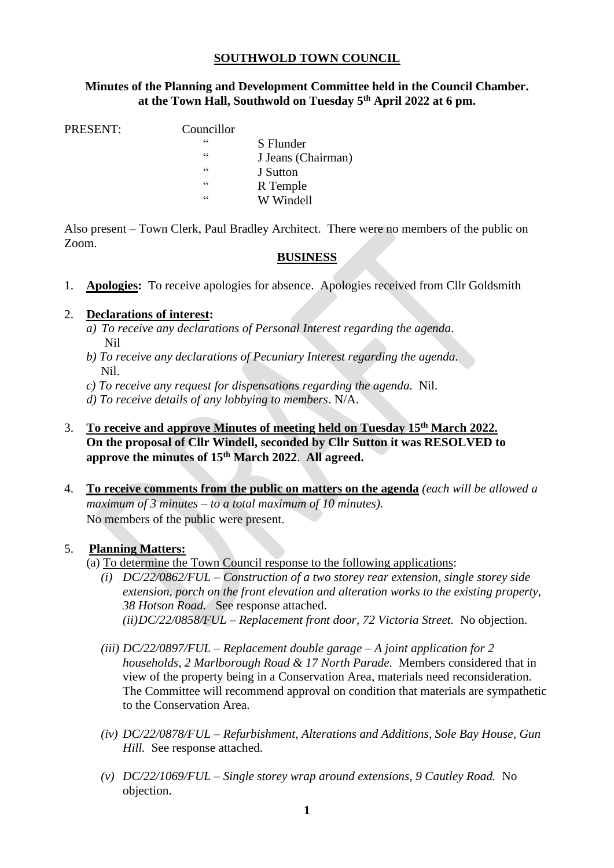# **SOUTHWOLD TOWN COUNCIL**

## **Minutes of the Planning and Development Committee held in the Council Chamber. at the Town Hall, Southwold on Tuesday 5 th April 2022 at 6 pm.**

PRESENT:

| Councillor |                    |
|------------|--------------------|
| 66         | S Flunder          |
| 66         | J Jeans (Chairman) |
| 66         | J Sutton           |
| 66         | R Temple           |
| 66         | W Windell          |
|            |                    |

Also present – Town Clerk, Paul Bradley Architect. There were no members of the public on Zoom.

## **BUSINESS**

1. **Apologies:** To receive apologies for absence. Apologies received from Cllr Goldsmith

## 2. **Declarations of interest:**

- *a) To receive any declarations of Personal Interest regarding the agenda*. Nil
- *b) To receive any declarations of Pecuniary Interest regarding the agenda.* Nil.
- *c) To receive any request for dispensations regarding the agenda.* Nil.
- *d) To receive details of any lobbying to members*. N/A.
- 3. **To receive and approve Minutes of meeting held on Tuesday 15th March 2022. On the proposal of Cllr Windell, seconded by Cllr Sutton it was RESOLVED to approve the minutes of 15th March 2022**. **All agreed.**
- 4. **To receive comments from the public on matters on the agenda** *(each will be allowed a maximum of 3 minutes – to a total maximum of 10 minutes).* No members of the public were present.

#### 5. **Planning Matters:**

- (a) To determine the Town Council response to the following applications:
	- *(i) DC/22/0862/FUL – Construction of a two storey rear extension, single storey side extension, porch on the front elevation and alteration works to the existing property, 38 Hotson Road.* See response attached. *(ii)DC/22/0858/FUL – Replacement front door, 72 Victoria Street.* No objection.
	- *(iii) DC/22/0897/FUL – Replacement double garage – A joint application for 2 households, 2 Marlborough Road & 17 North Parade.* Members considered that in view of the property being in a Conservation Area, materials need reconsideration. The Committee will recommend approval on condition that materials are sympathetic to the Conservation Area.
	- *(iv) DC/22/0878/FUL – Refurbishment, Alterations and Additions, Sole Bay House, Gun Hill.* See response attached.
	- *(v) DC/22/1069/FUL – Single storey wrap around extensions, 9 Cautley Road.* No objection.